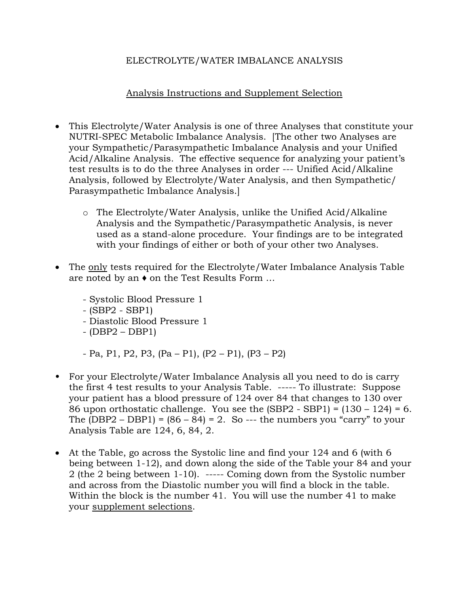## ELECTROLYTE/WATER IMBALANCE ANALYSIS

## Analysis Instructions and Supplement Selection

- This Electrolyte/Water Analysis is one of three Analyses that constitute your NUTRI-SPEC Metabolic Imbalance Analysis. [The other two Analyses are your Sympathetic/Parasympathetic Imbalance Analysis and your Unified Acid/Alkaline Analysis. The effective sequence for analyzing your patient's test results is to do the three Analyses in order --- Unified Acid/Alkaline Analysis, followed by Electrolyte/Water Analysis, and then Sympathetic/ Parasympathetic Imbalance Analysis.]
	- o The Electrolyte/Water Analysis, unlike the Unified Acid/Alkaline Analysis and the Sympathetic/Parasympathetic Analysis, is never used as a stand-alone procedure. Your findings are to be integrated with your findings of either or both of your other two Analyses.
- The only tests required for the Electrolyte/Water Imbalance Analysis Table are noted by an ♦ on the Test Results Form …
	- Systolic Blood Pressure 1
	- (SBP2 SBP1)
	- Diastolic Blood Pressure 1
	- (DBP2 DBP1)
	- $-$  Pa, P1, P2, P3, (Pa P1), (P2 P1), (P3 P2)
- For your Electrolyte/Water Imbalance Analysis all you need to do is carry the first 4 test results to your Analysis Table. ----- To illustrate: Suppose your patient has a blood pressure of 124 over 84 that changes to 130 over 86 upon orthostatic challenge. You see the  $(SBP2 - SBP1) = (130 - 124) = 6$ . The  $(DBP2 - DBP1) = (86 - 84) = 2$ . So --- the numbers you "carry" to your Analysis Table are 124, 6, 84, 2.
- At the Table, go across the Systolic line and find your 124 and 6 (with 6 being between 1-12), and down along the side of the Table your 84 and your 2 (the 2 being between 1-10). ----- Coming down from the Systolic number and across from the Diastolic number you will find a block in the table. Within the block is the number 41. You will use the number 41 to make your supplement selections.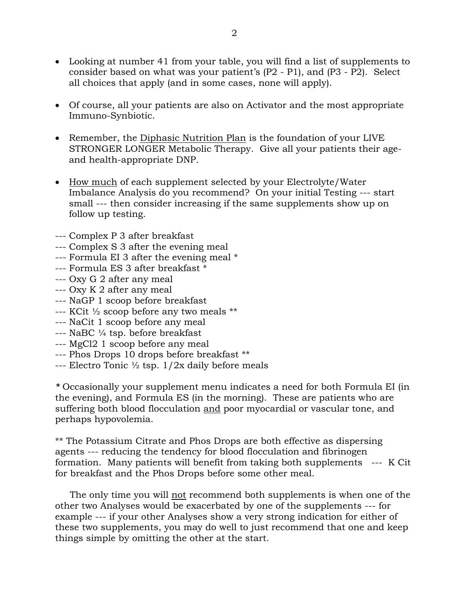- Looking at number 41 from your table, you will find a list of supplements to consider based on what was your patient's (P2 - P1), and (P3 - P2). Select all choices that apply (and in some cases, none will apply).
- Of course, all your patients are also on Activator and the most appropriate Immuno-Synbiotic.
- Remember, the Diphasic Nutrition Plan is the foundation of your LIVE STRONGER LONGER Metabolic Therapy. Give all your patients their ageand health-appropriate DNP.
- How much of each supplement selected by your Electrolyte/Water Imbalance Analysis do you recommend? On your initial Testing --- start small --- then consider increasing if the same supplements show up on follow up testing.
- --- Complex P 3 after breakfast
- --- Complex S 3 after the evening meal
- --- Formula EI 3 after the evening meal \*
- --- Formula ES 3 after breakfast \*
- --- Oxy G 2 after any meal
- --- Oxy K 2 after any meal
- --- NaGP 1 scoop before breakfast
- --- KCit ½ scoop before any two meals \*\*
- --- NaCit 1 scoop before any meal
- --- NaBC ¼ tsp. before breakfast
- --- MgCl2 1 scoop before any meal
- --- Phos Drops 10 drops before breakfast \*\*
- --- Electro Tonic  $\frac{1}{2}$  tsp.  $1/2x$  daily before meals

*\** Occasionally your supplement menu indicates a need for both Formula EI (in the evening), and Formula ES (in the morning). These are patients who are suffering both blood flocculation and poor myocardial or vascular tone, and perhaps hypovolemia.

\*\* The Potassium Citrate and Phos Drops are both effective as dispersing agents --- reducing the tendency for blood flocculation and fibrinogen formation. Many patients will benefit from taking both supplements --- K Cit for breakfast and the Phos Drops before some other meal.

 The only time you will not recommend both supplements is when one of the other two Analyses would be exacerbated by one of the supplements --- for example --- if your other Analyses show a very strong indication for either of these two supplements, you may do well to just recommend that one and keep things simple by omitting the other at the start.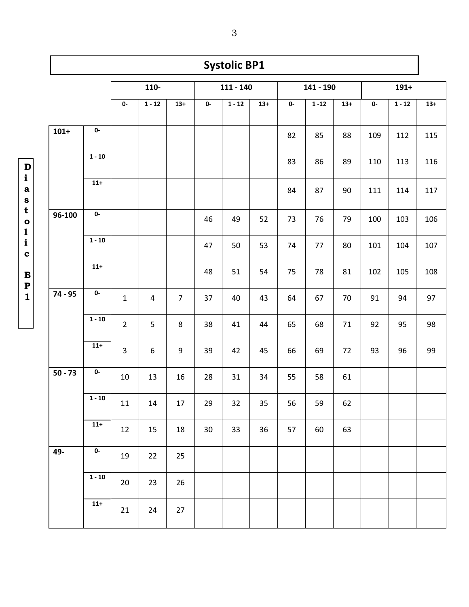|           |                         |                |                |                |             | <b>Systolic BP1</b> |       |              |          |       |         |          |       |
|-----------|-------------------------|----------------|----------------|----------------|-------------|---------------------|-------|--------------|----------|-------|---------|----------|-------|
|           |                         | $110-$         |                |                | $111 - 140$ |                     |       | 141 - 190    |          |       | $191 +$ |          |       |
|           |                         | 0-             | $1 - 12$       | $13+$          | 0-          | $1 - 12$            | $13+$ | $\mathbf{0}$ | $1 - 12$ | $13+$ | 0-      | $1 - 12$ | $13+$ |
| $101+$    | 0-                      |                |                |                |             |                     |       | 82           | 85       | 88    | 109     | 112      | 115   |
|           | $1 - 10$                |                |                |                |             |                     |       | 83           | 86       | 89    | 110     | 113      | 116   |
|           | $11+$                   |                |                |                |             |                     |       | 84           | 87       | 90    | 111     | 114      | 117   |
| 96-100    | $\overline{\mathbf{0}}$ |                |                |                | 46          | 49                  | 52    | 73           | 76       | 79    | 100     | 103      | 106   |
|           | $1 - 10$                |                |                |                | 47          | 50                  | 53    | 74           | 77       | 80    | 101     | 104      | 107   |
|           | $11+$                   |                |                |                | 48          | 51                  | 54    | 75           | 78       | 81    | 102     | 105      | 108   |
| 74 - 95   | 0-                      | $\mathbf{1}$   | $\overline{4}$ | $\overline{7}$ | 37          | 40                  | 43    | 64           | 67       | 70    | 91      | 94       | 97    |
|           | $1 - 10$                | $\overline{2}$ | 5              | 8              | 38          | 41                  | 44    | 65           | 68       | 71    | 92      | 95       | 98    |
|           | $11+$                   | 3              | 6              | 9              | 39          | 42                  | 45    | 66           | 69       | 72    | 93      | 96       | 99    |
| $50 - 73$ | 0-                      | 10             | 13             | 16             | 28          | 31                  | 34    | 55           | 58       | 61    |         |          |       |
| 49-       | $1 - 10$                | $11\,$         | $14\,$         | 17             | 29          | 32                  | 35    | 56           | 59       | 62    |         |          |       |
|           | $11+$                   | 12             | 15             | 18             | 30          | 33                  | 36    | 57           | 60       | 63    |         |          |       |
|           | $\mathbf{0}$            | 19             | 22             | 25             |             |                     |       |              |          |       |         |          |       |
|           | $1 - 10$                | 20             | 23             | 26             |             |                     |       |              |          |       |         |          |       |
|           | $11+$                   | 21             | 24             | 27             |             |                     |       |              |          |       |         |          |       |

**D i a s t o l i c B P 1**

3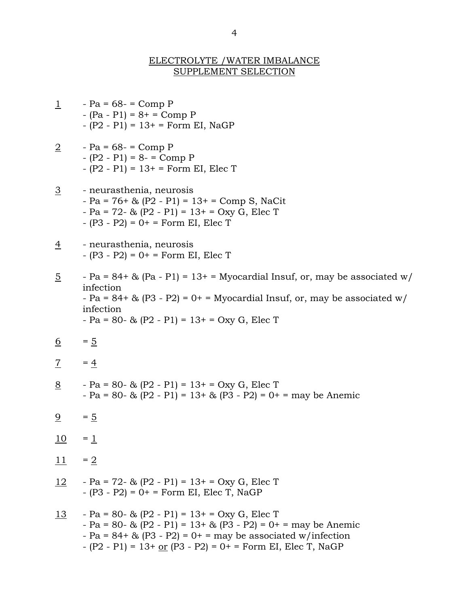## ELECTROLYTE /WATER IMBALANCE SUPPLEMENT SELECTION

| $\overline{1}$        | $-Pa = 68 - 12$ Comp P<br>$-(Pa - P1) = 8 + 5$ Comp P<br>$- (P2 - P1) = 13 + F$ orm EI, NaGP                                                                                                                                                            |
|-----------------------|---------------------------------------------------------------------------------------------------------------------------------------------------------------------------------------------------------------------------------------------------------|
| $\overline{2}$        | $-Pa = 68 - 12$ Comp P<br>$-(P2 - P1) = 8 - \text{Comp } P$<br>$- (P2 - P1) = 13 + Form$ EI, Elec T                                                                                                                                                     |
| $\overline{3}$        | - neurasthenia, neurosis<br>$- Pa = 76 + \& (P2 - P1) = 13 + \text{ comp } S$ , NaCit<br>- Pa = $72 - 8$ ; (P2 - P1) = $13 + 50xy$ G, Elec T<br>- $(P3 - P2) = 0$ + = Form EI, Elec T                                                                   |
| $\overline{4}$        | - neurasthenia, neurosis<br>$-(P3 - P2) = 0 + F$ orm EI, Elec T                                                                                                                                                                                         |
| <u>5</u>              | - Pa = $84 +$ & (Pa - P1) = $13 +$ = Myocardial Insuf, or, may be associated w/<br>infection<br>- Pa = $84+$ & (P3 - P2) = $0+$ = Myocardial Insuf, or, may be associated w/<br>infection<br>$-Pa = 80 - \& (P2 - P1) = 13 + Oxy G$ , Elec T            |
| <u>6</u>              | $=$ 5                                                                                                                                                                                                                                                   |
| $\overline{1}$        | $= 4$                                                                                                                                                                                                                                                   |
| $\frac{8}{5}$         | - Pa = 80- & $(P2 - P1) = 13 + Oxy$ G, Elec T<br>- Pa = 80- & (P2 - P1) = $13+$ & (P3 - P2) = 0+ = may be Anemic                                                                                                                                        |
| $\overline{\partial}$ | $= 5$                                                                                                                                                                                                                                                   |
| <u>10</u>             | $=$ $\frac{1}{1}$                                                                                                                                                                                                                                       |
| 11                    | $=2$                                                                                                                                                                                                                                                    |
| <u>12</u>             | $-Pa = 72 - 8$ (P2 - P1) = 13+ = Oxy G, Elec T<br>- $(P3 - P2) = 0$ = Form EI, Elec T, NaGP                                                                                                                                                             |
| <u> 13</u>            | - Pa = 80- & $(P2 - P1) = 13 + Oxy$ G, Elec T<br>- Pa = 80- & (P2 - P1) = $13+$ & (P3 - P2) = 0+ = may be Anemic<br>- Pa = $84 + \& (P3 - P2) = 0 + =$ may be associated w/infection<br>- $(P2 - P1) = 13 + or (P3 - P2) = 0 +$ = Form EI, Elec T, NaGP |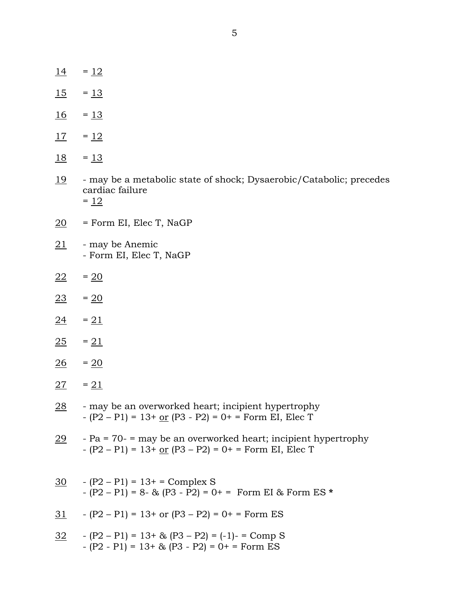- $14 = 12$
- $15 = 13$
- $\frac{16}{1}$  =  $\frac{13}{1}$
- $17 = 12$
- $\frac{18}{15}$  =  $\frac{13}{15}$
- 19 may be a metabolic state of shock; Dysaerobic/Catabolic; precedes cardiac failure  $= 12$
- $20$  = Form EI, Elec T, NaGP
- 21 may be Anemic - Form EI, Elec T, NaGP
- $\frac{22}{ }$  = 20
- $\frac{23}{ }$  = 20
- $24 = 21$
- $25 = 21$
- $26 = 20$
- $27 = 21$
- $28$  may be an overworked heart; incipient hypertrophy  $-(P2 - P1) = 13 + or (P3 - P2) = 0 +$  = Form EI, Elec T
- 29 Pa = 70- = may be an overworked heart; incipient hypertrophy  $-(P2 - P1) = 13 + or (P3 - P2) = 0 +$  = Form EI, Elec T
- $30 \text{ }$   $(P2 P1) = 13 + 5$  Complex S - (P2 – P1) = 8- & (P3 - P2) = 0+ = Form EI & Form ES **\***
- 31  $(P2 P1) = 13 + or (P3 P2) = 0 +$  = Form ES
- $32$   $(P2 P1) = 13 + \& (P3 P2) = (-1) 12$  Comp S  $-(P2 - P1) = 13 + \& (P3 - P2) = 0 + 5$  Form ES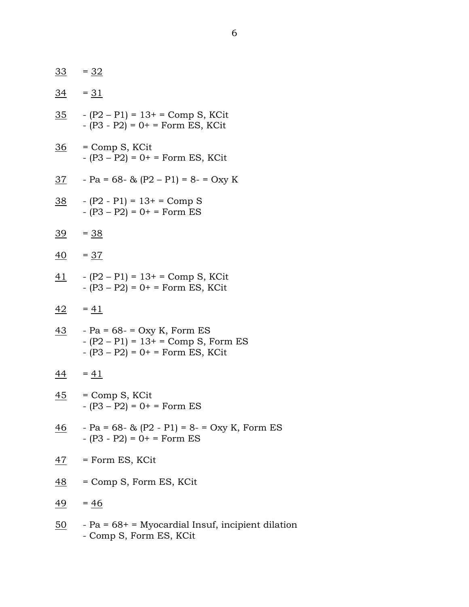|           | $\frac{33}{ } = 32$                                                                                                        |
|-----------|----------------------------------------------------------------------------------------------------------------------------|
|           | $\frac{34}{ }$ = $\frac{31}{ }$                                                                                            |
|           | $\frac{35}{10}$ - (P2 – P1) = 13+ = Comp S, KCit<br>- $(P3 - P2) = 0$ + = Form ES, KCit                                    |
|           | <u>36</u> = Comp S, KCit<br>$-(P3 - P2) = 0 + F$ orm ES, KCit                                                              |
|           | $\frac{37}{1}$ - Pa = 68- & (P2 – P1) = 8- = Oxy K                                                                         |
|           | $\frac{38}{1}$ - (P2 - P1) = 13+ = Comp S<br>$-(P3 - P2) = 0 + F$ orm ES                                                   |
|           | $\frac{39}{1}$ = $\frac{38}{1}$                                                                                            |
|           | $\frac{40}{1}$ = 37                                                                                                        |
|           | $\frac{41}{2}$ - (P2 – P1) = 13+ = Comp S, KCit<br>$- (P3 - P2) = 0 + 5$ Form ES, KCit                                     |
|           | $\frac{42}{ }$ = $\frac{41}{ }$                                                                                            |
|           | $\frac{43}{1}$ - Pa = 68- = Oxy K, Form ES<br>$-(P2 - P1) = 13 + 5$ Comp S, Form ES<br>$- (P3 - P2) = 0 + = Form ES, KCit$ |
|           | $\frac{44}{ }$ = $\frac{41}{ }$                                                                                            |
|           | <u>45</u> = Comp S, KCit<br>$-(P3 - P2) = 0 + 5$ Form ES                                                                   |
| <u>46</u> | - Pa = $68 - 8$ (P2 - P1) = $8 - 50xy$ K, Form ES<br>$-(P3 - P2) = 0 + Form ES$                                            |
| <u>47</u> | = Form ES, KCit                                                                                                            |
| <u>48</u> | = Comp S, Form ES, KCit                                                                                                    |
| <u>49</u> | $= 46$                                                                                                                     |
| <u>50</u> | - Pa = $68+$ = Myocardial Insuf, incipient dilation<br>- Comp S, Form ES, KCit                                             |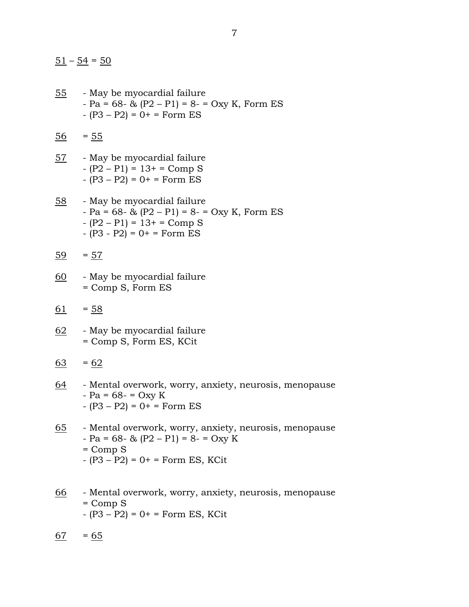$\frac{51}{54}$  –  $\frac{54}{50}$ 

- 55 May be myocardial failure  $-Pa = 68 - 8$  (P2 – P1) = 8 = Oxy K, Form ES  $-(P3 - P2) = 0 + F$ orm ES
- $\frac{56}{56} = 55$
- 57 May be myocardial failure - (P2 – P1) = 13+ = Comp S  $-(P3 - P2) = 0 + 5$  Form ES
- 58 May be myocardial failure  $-Pa = 68 - \& (P2 - P1) = 8 - \text{Oxy K}$ , Form ES - (P2 – P1) = 13+ = Comp S  $-(P3 - P2) = 0 + F$ orm ES
- $\frac{59}{59} = 57$
- 60 May be myocardial failure = Comp S, Form ES
- $61 = 58$
- 62 May be myocardial failure = Comp S, Form ES, KCit
- $63 = 62$
- 64 Mental overwork, worry, anxiety, neurosis, menopause  $-Pa = 68 - 50xy K$  $-(P3 - P2) = 0 + F$ orm ES
- 65 Mental overwork, worry, anxiety, neurosis, menopause  $-Pa = 68 - \& (P2 - P1) = 8 - Oxy$  K  $=$  Comp  $S$  $-(P3 - P2) = 0 + F$ orm ES, KCit
- 66 Mental overwork, worry, anxiety, neurosis, menopause  $=$  Comp  $S$  $- (P3 - P2) = 0 + 5$  Form ES, KCit
- $\frac{67}{6}$  = 65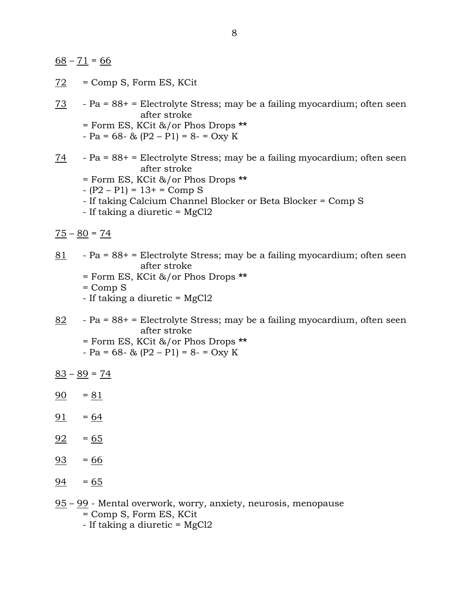$\underline{68} - \underline{71} = \underline{66}$ 

 $72$  = Comp S, Form ES, KCit

```
73 - Pa = 88+ = Electrolyte Stress; may be a failing myocardium; often seen 
        after stroke
```
- = Form ES, KCit &/or Phos Drops **\*\***
- $-Pa = 68 \& (P2 P1) = 8 Oxy$  K
- 74 Pa = 88+ = Electrolyte Stress; may be a failing myocardium; often seen after stroke
	- = Form ES, KCit &/or Phos Drops **\*\***
	- $-(P2 P1) = 13 + 5$  Comp S
	- If taking Calcium Channel Blocker or Beta Blocker = Comp S
	- If taking a diuretic = MgCl2
- $75 80 = 74$
- 81 Pa = 88+ = Electrolyte Stress; may be a failing myocardium; often seen after stroke
	- = Form ES, KCit &/or Phos Drops **\*\***
	- $=$  Comp  $S$
	- If taking a diuretic = MgCl2
- $82$  Pa = 88+ = Electrolyte Stress; may be a failing myocardium, often seen after stroke
	- = Form ES, KCit &/or Phos Drops **\*\***
	- $-Pa = 68 \& (P2 P1) = 8 Oxy$  K
- $83 89 = 74$
- $90 = 81$
- $91 = 64$
- $92 = 65$
- $93 = 66$
- $\frac{94}{9} = 65$
- 95 99 Mental overwork, worry, anxiety, neurosis, menopause = Comp S, Form ES, KCit - If taking a diuretic = MgCl2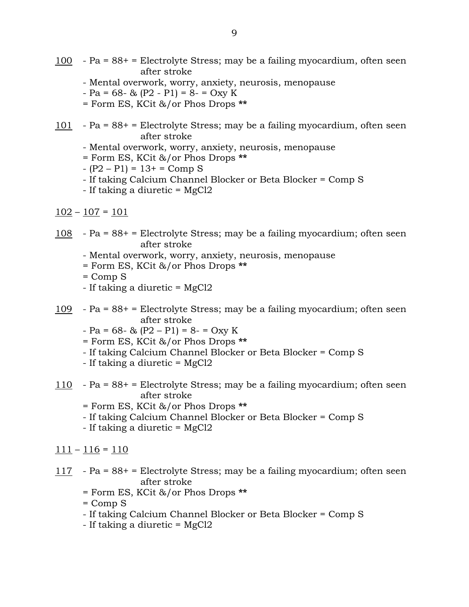- 100 Pa = 88+ = Electrolyte Stress; may be a failing myocardium, often seen after stroke
	- Mental overwork, worry, anxiety, neurosis, menopause
	- $-Pa = 68 \& (P2 P1) = 8 \& Oxy K$
	- = Form ES, KCit &/or Phos Drops **\*\***
- $101$  Pa = 88+ = Electrolyte Stress; may be a failing myocardium, often seen after stroke
	- Mental overwork, worry, anxiety, neurosis, menopause
	- = Form ES, KCit &/or Phos Drops **\*\***
	- $-(P2 P1) = 13 + 5$  Comp S
	- If taking Calcium Channel Blocker or Beta Blocker = Comp S
	- If taking a diuretic = MgCl2
- $102 107 = 101$
- 108 Pa = 88+ = Electrolyte Stress; may be a failing myocardium; often seen after stroke
	- Mental overwork, worry, anxiety, neurosis, menopause
	- = Form ES, KCit &/or Phos Drops **\*\***
	- $=$  Comp  $S$
	- If taking a diuretic = MgCl2
- 109 Pa = 88+ = Electrolyte Stress; may be a failing myocardium; often seen after stroke
	- $-Pa = 68 \& (P2 P1) = 8 Oxy$  K
	- = Form ES, KCit &/or Phos Drops **\*\***
	- If taking Calcium Channel Blocker or Beta Blocker = Comp S
	- If taking a diuretic = MgCl2
- 110 Pa = 88+ = Electrolyte Stress; may be a failing myocardium; often seen after stroke
	- = Form ES, KCit &/or Phos Drops **\*\***
	- If taking Calcium Channel Blocker or Beta Blocker = Comp S
	- If taking a diuretic = MgCl2
- $111 116 = 110$
- 117 Pa = 88+ = Electrolyte Stress; may be a failing myocardium; often seen after stroke
	- = Form ES, KCit &/or Phos Drops **\*\***
	- $=$  Comp  $S$
	- If taking Calcium Channel Blocker or Beta Blocker = Comp S
	- If taking a diuretic = MgCl2